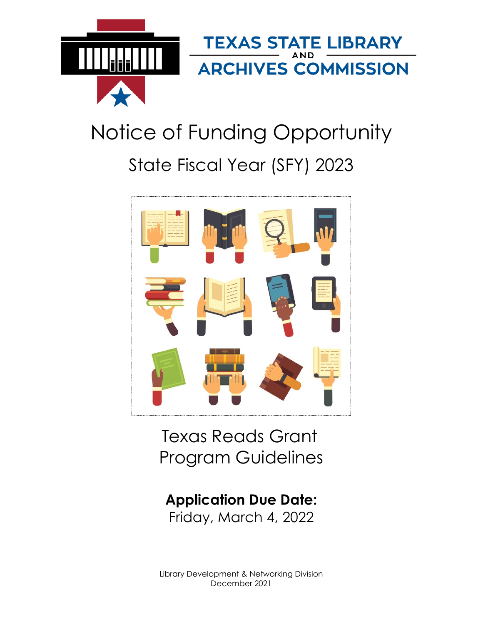

# Notice of Funding Opportunity State Fiscal Year (SFY) 2023



Texas Reads Grant Program Guidelines

**Application Due Date:** Friday, March 4, 2022

Library Development & Networking Division December 2021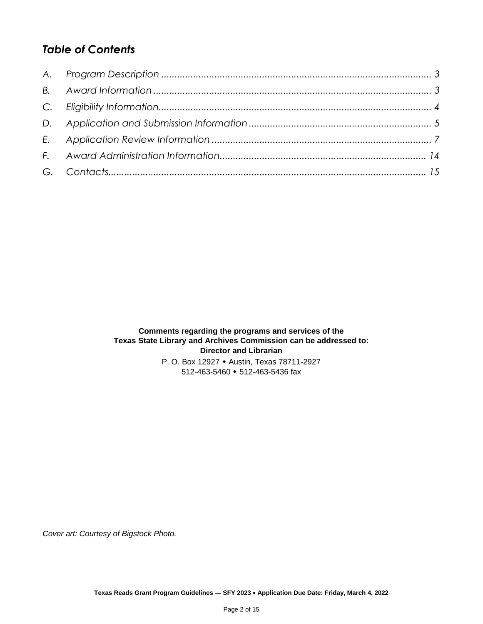# *Table of Contents*

**Comments regarding the programs and services of the Texas State Library and Archives Commission can be addressed to: Director and Librarian** P. O. Box 12927 Austin, Texas 78711-2927

512-463-5460 • 512-463-5436 fax

*Cover art: Courtesy of Bigstock Photo.*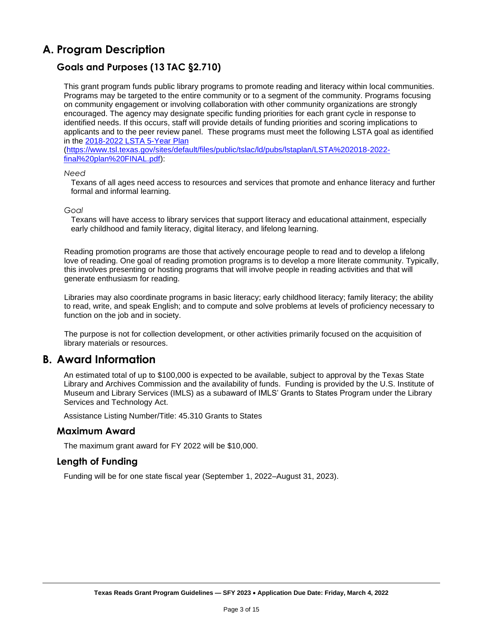# <span id="page-2-0"></span>**A. Program Description**

# **Goals and Purposes (13 TAC §2.710)**

This grant program funds public library programs to promote reading and literacy within local communities. Programs may be targeted to the entire community or to a segment of the community. Programs focusing on community engagement or involving collaboration with other community organizations are strongly encouraged. The agency may designate specific funding priorities for each grant cycle in response to identified needs. If this occurs, staff will provide details of funding priorities and scoring implications to applicants and to the peer review panel. These programs must meet the following LSTA goal as identified in the [2018-2022 LSTA 5-Year](https://www.tsl.texas.gov/sites/default/files/public/tslac/ld/pubs/lstaplan/LSTA%202018-2022-final%20plan%20FINAL.pdf) Plan

[\(https://www.tsl.texas.gov/sites/default/files/public/tslac/ld/pubs/lstaplan/LSTA%202018-2022](https://www.tsl.texas.gov/sites/default/files/public/tslac/ld/pubs/lstaplan/LSTA%202018-2022-final%20plan%20FINAL.pdf) [final%20plan%20FINAL.pdf\)](https://www.tsl.texas.gov/sites/default/files/public/tslac/ld/pubs/lstaplan/LSTA%202018-2022-final%20plan%20FINAL.pdf):

#### *Need*

Texans of all ages need access to resources and services that promote and enhance literacy and further formal and informal learning.

#### *Goal*

Texans will have access to library services that support literacy and educational attainment, especially early childhood and family literacy, digital literacy, and lifelong learning.

Reading promotion programs are those that actively encourage people to read and to develop a lifelong love of reading. One goal of reading promotion programs is to develop a more literate community. Typically, this involves presenting or hosting programs that will involve people in reading activities and that will generate enthusiasm for reading.

Libraries may also coordinate programs in basic literacy; early childhood literacy; family literacy; the ability to read, write, and speak English; and to compute and solve problems at levels of proficiency necessary to function on the job and in society.

The purpose is not for collection development, or other activities primarily focused on the acquisition of library materials or resources.

## <span id="page-2-1"></span>**B. Award Information**

An estimated total of up to \$100,000 is expected to be available, subject to approval by the Texas State Library and Archives Commission and the availability of funds. Funding is provided by the U.S. Institute of Museum and Library Services (IMLS) as a subaward of IMLS' Grants to States Program under the Library Services and Technology Act.

Assistance Listing Number/Title: 45.310 Grants to States

#### **Maximum Award**

The maximum grant award for FY 2022 will be \$10,000.

#### **Length of Funding**

Funding will be for one state fiscal year (September 1, 2022–August 31, 2023).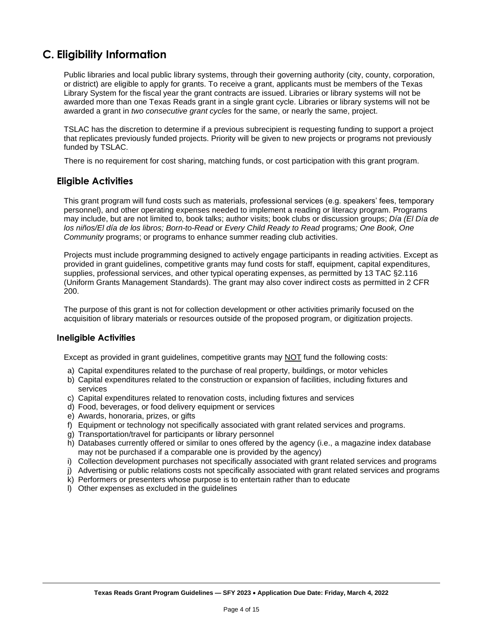# <span id="page-3-0"></span>**C. Eligibility Information**

Public libraries and local public library systems, through their governing authority (city, county, corporation, or district) are eligible to apply for grants. To receive a grant, applicants must be members of the Texas Library System for the fiscal year the grant contracts are issued. Libraries or library systems will not be awarded more than one Texas Reads grant in a single grant cycle. Libraries or library systems will not be awarded a grant in *two consecutive grant cycles* for the same, or nearly the same, project.

TSLAC has the discretion to determine if a previous subrecipient is requesting funding to support a project that replicates previously funded projects. Priority will be given to new projects or programs not previously funded by TSLAC.

There is no requirement for cost sharing, matching funds, or cost participation with this grant program.

## **Eligible Activities**

This grant program will fund costs such as materials, professional services (e.g. speakers' fees, temporary personnel), and other operating expenses needed to implement a reading or literacy program. Programs may include, but are not limited to, book talks; author visits; book clubs or discussion groups; *Día (El Día de los niños/El día de los libros; Born-to-Read* or *Every Child Ready to Read* programs*; One Book, One Community* programs; or programs to enhance summer reading club activities.

Projects must include programming designed to actively engage participants in reading activities. Except as provided in grant guidelines, competitive grants may fund costs for staff, equipment, capital expenditures, supplies, professional services, and other typical operating expenses, as permitted by 13 TAC §2.116 (Uniform Grants Management Standards). The grant may also cover indirect costs as permitted in 2 CFR 200.

The purpose of this grant is not for collection development or other activities primarily focused on the acquisition of library materials or resources outside of the proposed program, or digitization projects.

#### **Ineligible Activities**

Except as provided in grant guidelines, competitive grants may NOT fund the following costs:

- a) Capital expenditures related to the purchase of real property, buildings, or motor vehicles
- b) Capital expenditures related to the construction or expansion of facilities, including fixtures and services
- c) Capital expenditures related to renovation costs, including fixtures and services
- d) Food, beverages, or food delivery equipment or services
- e) Awards, honoraria, prizes, or gifts
- f) Equipment or technology not specifically associated with grant related services and programs.
- g) Transportation/travel for participants or library personnel
- h) Databases currently offered or similar to ones offered by the agency (i.e., a magazine index database may not be purchased if a comparable one is provided by the agency)
- i) Collection development purchases not specifically associated with grant related services and programs
- j) Advertising or public relations costs not specifically associated with grant related services and programs
- k) Performers or presenters whose purpose is to entertain rather than to educate
- l) Other expenses as excluded in the guidelines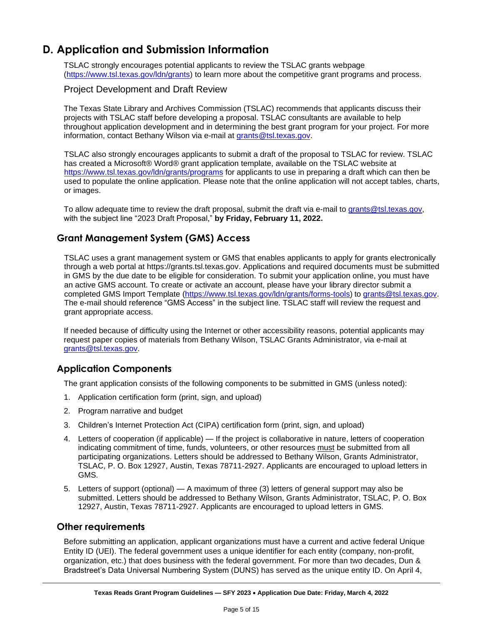# <span id="page-4-0"></span>**D. Application and Submission Information**

TSLAC strongly encourages potential applicants to review the TSLAC grants webpage [\(https://www.tsl.texas.gov/ldn/grants\)](https://www.tsl.texas.gov/ldn/grants) to learn more about the competitive grant programs and process.

#### Project Development and Draft Review

The Texas State Library and Archives Commission (TSLAC) recommends that applicants discuss their projects with TSLAC staff before developing a proposal. TSLAC consultants are available to help throughout application development and in determining the best grant program for your project. For more information, contact Bethany Wilson via e-mail at [grants@tsl.texas.gov.](grants@tsl.texas.gov)

TSLAC also strongly encourages applicants to submit a draft of the proposal to TSLAC for review. TSLAC has created a Microsoft® Word® grant application template, available on the TSLAC website at <https://www.tsl.texas.gov/ldn/grants/programs> for applicants to use in preparing a draft which can then be used to populate the online application. Please note that the online application will not accept tables, charts, or images.

To allow adequate time to review the draft proposal, submit the draft via e-mail to [grants@tsl.texas.gov,](mailto:grants@tsl.texas.gov) with the subject line "2023 Draft Proposal," **by Friday, February 11, 2022.**

## **Grant Management System (GMS) Access**

TSLAC uses a grant management system or GMS that enables applicants to apply for grants electronically through a web portal at https://grants.tsl.texas.gov. Applications and required documents must be submitted in GMS by the due date to be eligible for consideration. To submit your application online, you must have an active GMS account. To create or activate an account, please have your library director submit a completed GMS Import Template [\(https://www.tsl.texas.gov/ldn/grants/forms-tools\)](https://www.tsl.texas.gov/ldn/grants/forms-tools) to [grants@tsl.texas.gov.](file:///C:/Users/emccormick/AppData/Local/Microsoft/Windows/INetCache/Content.Outlook/X485HRKX/grants@tsl.texas.gov) The e-mail should reference "GMS Access" in the subject line. TSLAC staff will review the request and grant appropriate access.

If needed because of difficulty using the Internet or other accessibility reasons, potential applicants may request paper copies of materials from Bethany Wilson, TSLAC Grants Administrator, via e-mail at [grants@tsl.texas.gov.](grants@tsl.texas.gov)

## **Application Components**

The grant application consists of the following components to be submitted in GMS (unless noted):

- 1. Application certification form (print, sign, and upload)
- 2. Program narrative and budget
- 3. Children's Internet Protection Act (CIPA) certification form (print, sign, and upload)
- 4. Letters of cooperation (if applicable) If the project is collaborative in nature, letters of cooperation indicating commitment of time, funds, volunteers, or other resources must be submitted from all participating organizations. Letters should be addressed to Bethany Wilson, Grants Administrator, TSLAC, P. O. Box 12927, Austin, Texas 78711-2927. Applicants are encouraged to upload letters in GMS.
- 5. Letters of support (optional) A maximum of three (3) letters of general support may also be submitted. Letters should be addressed to Bethany Wilson, Grants Administrator, TSLAC, P. O. Box 12927, Austin, Texas 78711-2927. Applicants are encouraged to upload letters in GMS.

#### **Other requirements**

Before submitting an application, applicant organizations must have a current and active federal Unique Entity ID (UEI). The federal government uses a unique identifier for each entity (company, non-profit, organization, etc.) that does business with the federal government. For more than two decades, Dun & Bradstreet's Data Universal Numbering System (DUNS) has served as the unique entity ID. On April 4,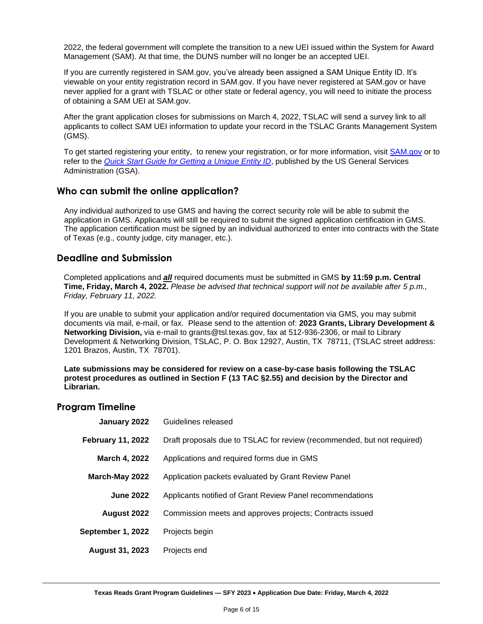2022, the federal government will complete the transition to a new UEI issued within the System for Award Management (SAM). At that time, the DUNS number will no longer be an accepted UEI.

If you are currently registered in SAM.gov, you've already been assigned a SAM Unique Entity ID. It's viewable on your entity registration record in SAM.gov. If you have never registered at SAM.gov or have never applied for a grant with TSLAC or other state or federal agency, you will need to initiate the process of obtaining a SAM UEI at SAM.gov.

After the grant application closes for submissions on March 4, 2022, TSLAC will send a survey link to all applicants to collect SAM UEI information to update your record in the TSLAC Grants Management System (GMS).

To get started registering your entity, to renew your registration, or for more information, visit [SAM.gov](https://sam.gov/content/home) or to refer to the *[Quick Start Guide for Getting a Unique Entity ID](https://www.msac.org/media/570/download?inline)*, published by the US General Services Administration (GSA).

## **Who can submit the online application?**

Any individual authorized to use GMS and having the correct security role will be able to submit the application in GMS. Applicants will still be required to submit the signed application certification in GMS. The application certification must be signed by an individual authorized to enter into contracts with the State of Texas (e.g., county judge, city manager, etc.).

#### **Deadline and Submission**

Completed applications and *all* required documents must be submitted in GMS **by 11:59 p.m. Central Time, Friday, March 4, 2022.** *Please be advised that technical support will not be available after 5 p.m., Friday, February 11, 2022.*

If you are unable to submit your application and/or required documentation via GMS, you may submit documents via mail, e-mail, or fax. Please send to the attention of: **2023 Grants, Library Development & Networking Division,** via e-mail to grants@tsl.texas.gov, fax at 512-936-2306, or mail to Library Development & Networking Division, TSLAC, P. O. Box 12927, Austin, TX 78711, (TSLAC street address: 1201 Brazos, Austin, TX 78701).

**Late submissions may be considered for review on a case-by-case basis following the TSLAC protest procedures as outlined in Section F (13 TAC §2.55) and decision by the Director and Librarian.**

#### **Program Timeline**

| January 2022             | Guidelines released                                                     |
|--------------------------|-------------------------------------------------------------------------|
| <b>February 11, 2022</b> | Draft proposals due to TSLAC for review (recommended, but not required) |
| March 4, 2022            | Applications and required forms due in GMS                              |
| March-May 2022           | Application packets evaluated by Grant Review Panel                     |
| <b>June 2022</b>         | Applicants notified of Grant Review Panel recommendations               |
| August 2022              | Commission meets and approves projects; Contracts issued                |
| September 1, 2022        | Projects begin                                                          |
| <b>August 31, 2023</b>   | Projects end                                                            |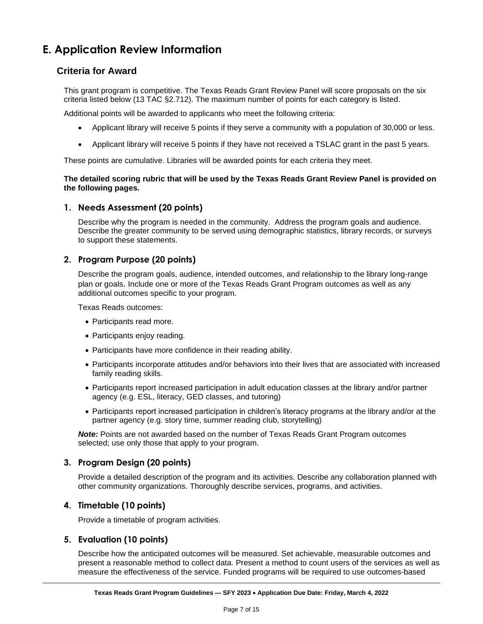# <span id="page-6-0"></span>**E. Application Review Information**

## **Criteria for Award**

This grant program is competitive. The Texas Reads Grant Review Panel will score proposals on the six criteria listed below (13 TAC §2.712). The maximum number of points for each category is listed.

Additional points will be awarded to applicants who meet the following criteria:

- Applicant library will receive 5 points if they serve a community with a population of 30,000 or less.
- Applicant library will receive 5 points if they have not received a TSLAC grant in the past 5 years.

These points are cumulative. Libraries will be awarded points for each criteria they meet.

#### **The detailed scoring rubric that will be used by the Texas Reads Grant Review Panel is provided on the following pages.**

#### **1. Needs Assessment (20 points)**

Describe why the program is needed in the community. Address the program goals and audience. Describe the greater community to be served using demographic statistics, library records, or surveys to support these statements.

#### **2. Program Purpose (20 points)**

Describe the program goals, audience, intended outcomes, and relationship to the library long-range plan or goals. Include one or more of the Texas Reads Grant Program outcomes as well as any additional outcomes specific to your program.

Texas Reads outcomes:

- Participants read more.
- Participants enjoy reading.
- Participants have more confidence in their reading ability.
- Participants incorporate attitudes and/or behaviors into their lives that are associated with increased family reading skills.
- Participants report increased participation in adult education classes at the library and/or partner agency (e.g. ESL, literacy, GED classes, and tutoring)
- Participants report increased participation in children's literacy programs at the library and/or at the partner agency (e.g. story time, summer reading club, storytelling)

*Note:* Points are not awarded based on the number of Texas Reads Grant Program outcomes selected; use only those that apply to your program.

#### **3. Program Design (20 points)**

Provide a detailed description of the program and its activities. Describe any collaboration planned with other community organizations. Thoroughly describe services, programs, and activities.

#### **4. Timetable (10 points)**

Provide a timetable of program activities.

#### **5. Evaluation (10 points)**

Describe how the anticipated outcomes will be measured. Set achievable, measurable outcomes and present a reasonable method to collect data. Present a method to count users of the services as well as measure the effectiveness of the service. Funded programs will be required to use outcomes-based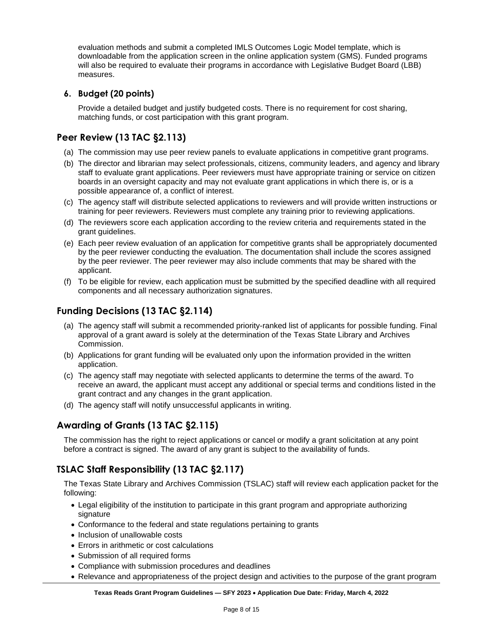evaluation methods and submit a completed IMLS Outcomes Logic Model template, which is downloadable from the application screen in the online application system (GMS). Funded programs will also be required to evaluate their programs in accordance with Legislative Budget Board (LBB) measures.

## **6. Budget (20 points)**

Provide a detailed budget and justify budgeted costs. There is no requirement for cost sharing, matching funds, or cost participation with this grant program.

## **Peer Review (13 TAC §2.113)**

- (a) The commission may use peer review panels to evaluate applications in competitive grant programs.
- (b) The director and librarian may select professionals, citizens, community leaders, and agency and library staff to evaluate grant applications. Peer reviewers must have appropriate training or service on citizen boards in an oversight capacity and may not evaluate grant applications in which there is, or is a possible appearance of, a conflict of interest.
- (c) The agency staff will distribute selected applications to reviewers and will provide written instructions or training for peer reviewers. Reviewers must complete any training prior to reviewing applications.
- (d) The reviewers score each application according to the review criteria and requirements stated in the grant guidelines.
- (e) Each peer review evaluation of an application for competitive grants shall be appropriately documented by the peer reviewer conducting the evaluation. The documentation shall include the scores assigned by the peer reviewer. The peer reviewer may also include comments that may be shared with the applicant.
- (f) To be eligible for review, each application must be submitted by the specified deadline with all required components and all necessary authorization signatures.

# **Funding Decisions (13 TAC §2.114)**

- (a) The agency staff will submit a recommended priority-ranked list of applicants for possible funding. Final approval of a grant award is solely at the determination of the Texas State Library and Archives Commission.
- (b) Applications for grant funding will be evaluated only upon the information provided in the written application.
- (c) The agency staff may negotiate with selected applicants to determine the terms of the award. To receive an award, the applicant must accept any additional or special terms and conditions listed in the grant contract and any changes in the grant application.
- (d) The agency staff will notify unsuccessful applicants in writing.

# **Awarding of Grants (13 TAC §2.115)**

The commission has the right to reject applications or cancel or modify a grant solicitation at any point before a contract is signed. The award of any grant is subject to the availability of funds.

# **TSLAC Staff Responsibility (13 TAC §2.117)**

The Texas State Library and Archives Commission (TSLAC) staff will review each application packet for the following:

- Legal eligibility of the institution to participate in this grant program and appropriate authorizing signature
- Conformance to the federal and state regulations pertaining to grants
- Inclusion of unallowable costs
- Errors in arithmetic or cost calculations
- Submission of all required forms
- Compliance with submission procedures and deadlines
- Relevance and appropriateness of the project design and activities to the purpose of the grant program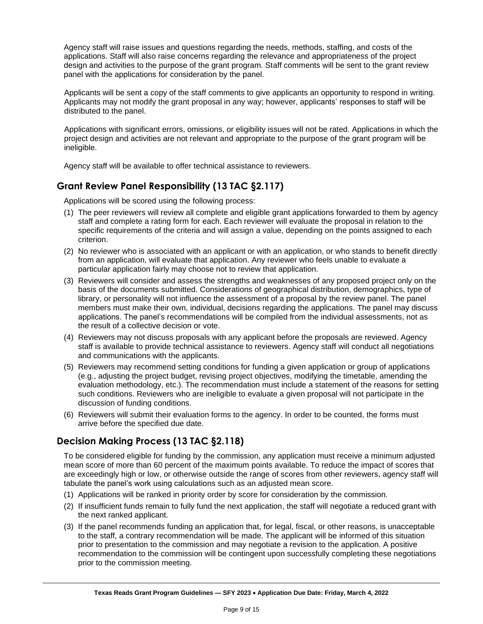Agency staff will raise issues and questions regarding the needs, methods, staffing, and costs of the applications. Staff will also raise concerns regarding the relevance and appropriateness of the project design and activities to the purpose of the grant program. Staff comments will be sent to the grant review panel with the applications for consideration by the panel.

Applicants will be sent a copy of the staff comments to give applicants an opportunity to respond in writing. Applicants may not modify the grant proposal in any way; however, applicants' responses to staff will be distributed to the panel.

Applications with significant errors, omissions, or eligibility issues will not be rated. Applications in which the project design and activities are not relevant and appropriate to the purpose of the grant program will be ineligible.

Agency staff will be available to offer technical assistance to reviewers.

## **Grant Review Panel Responsibility (13 TAC §2.117)**

Applications will be scored using the following process:

- (1) The peer reviewers will review all complete and eligible grant applications forwarded to them by agency staff and complete a rating form for each. Each reviewer will evaluate the proposal in relation to the specific requirements of the criteria and will assign a value, depending on the points assigned to each criterion.
- (2) No reviewer who is associated with an applicant or with an application, or who stands to benefit directly from an application, will evaluate that application. Any reviewer who feels unable to evaluate a particular application fairly may choose not to review that application.
- (3) Reviewers will consider and assess the strengths and weaknesses of any proposed project only on the basis of the documents submitted. Considerations of geographical distribution, demographics, type of library, or personality will not influence the assessment of a proposal by the review panel. The panel members must make their own, individual, decisions regarding the applications. The panel may discuss applications. The panel's recommendations will be compiled from the individual assessments, not as the result of a collective decision or vote.
- (4) Reviewers may not discuss proposals with any applicant before the proposals are reviewed. Agency staff is available to provide technical assistance to reviewers. Agency staff will conduct all negotiations and communications with the applicants.
- (5) Reviewers may recommend setting conditions for funding a given application or group of applications (e.g., adjusting the project budget, revising project objectives, modifying the timetable, amending the evaluation methodology, etc.). The recommendation must include a statement of the reasons for setting such conditions. Reviewers who are ineligible to evaluate a given proposal will not participate in the discussion of funding conditions.
- (6) Reviewers will submit their evaluation forms to the agency. In order to be counted, the forms must arrive before the specified due date.

# **Decision Making Process (13 TAC §2.118)**

To be considered eligible for funding by the commission, any application must receive a minimum adjusted mean score of more than 60 percent of the maximum points available. To reduce the impact of scores that are exceedingly high or low, or otherwise outside the range of scores from other reviewers, agency staff will tabulate the panel's work using calculations such as an adjusted mean score.

- (1) Applications will be ranked in priority order by score for consideration by the commission.
- (2) If insufficient funds remain to fully fund the next application, the staff will negotiate a reduced grant with the next ranked applicant.
- (3) If the panel recommends funding an application that, for legal, fiscal, or other reasons, is unacceptable to the staff, a contrary recommendation will be made. The applicant will be informed of this situation prior to presentation to the commission and may negotiate a revision to the application. A positive recommendation to the commission will be contingent upon successfully completing these negotiations prior to the commission meeting.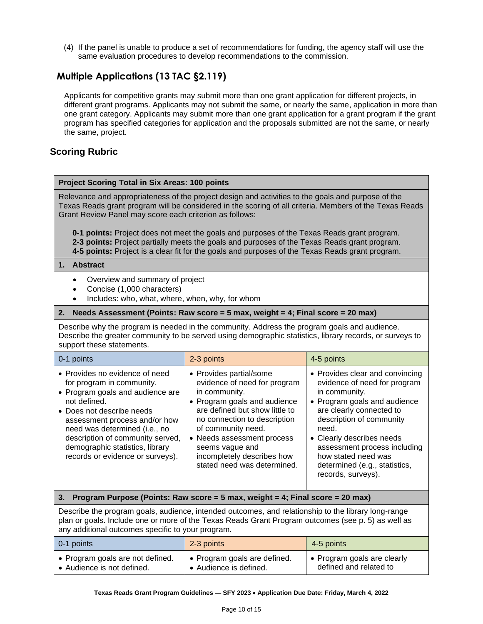(4) If the panel is unable to produce a set of recommendations for funding, the agency staff will use the same evaluation procedures to develop recommendations to the commission.

# **Multiple Applications (13 TAC §2.119)**

Applicants for competitive grants may submit more than one grant application for different projects, in different grant programs. Applicants may not submit the same, or nearly the same, application in more than one grant category. Applicants may submit more than one grant application for a grant program if the grant program has specified categories for application and the proposals submitted are not the same, or nearly the same, project.

## **Scoring Rubric**

#### **Project Scoring Total in Six Areas: 100 points**

Relevance and appropriateness of the project design and activities to the goals and purpose of the Texas Reads grant program will be considered in the scoring of all criteria. Members of the Texas Reads Grant Review Panel may score each criterion as follows:

**0-1 points:** Project does not meet the goals and purposes of the Texas Reads grant program. **2-3 points:** Project partially meets the goals and purposes of the Texas Reads grant program. **4-5 points:** Project is a clear fit for the goals and purposes of the Texas Reads grant program.

#### **1. Abstract**

- Overview and summary of project
- Concise (1,000 characters)
- Includes: who, what, where, when, why, for whom

#### **2. Needs Assessment (Points: Raw score = 5 max, weight = 4; Final score = 20 max)**

Describe why the program is needed in the community. Address the program goals and audience. Describe the greater community to be served using demographic statistics, library records, or surveys to support these statements.

| 0-1 points                                                                                                                                                                                                                                                                                                                | 2-3 points                                                                                                                                                                                                                                                                                                     | 4-5 points                                                                                                                                                                                                                                                                                                                   |
|---------------------------------------------------------------------------------------------------------------------------------------------------------------------------------------------------------------------------------------------------------------------------------------------------------------------------|----------------------------------------------------------------------------------------------------------------------------------------------------------------------------------------------------------------------------------------------------------------------------------------------------------------|------------------------------------------------------------------------------------------------------------------------------------------------------------------------------------------------------------------------------------------------------------------------------------------------------------------------------|
| • Provides no evidence of need<br>for program in community.<br>• Program goals and audience are<br>not defined.<br>• Does not describe needs<br>assessment process and/or how<br>need was determined (i.e., no<br>description of community served,<br>demographic statistics, library<br>records or evidence or surveys). | • Provides partial/some<br>evidence of need for program<br>in community.<br>• Program goals and audience<br>are defined but show little to<br>no connection to description<br>of community need.<br>• Needs assessment process<br>seems vague and<br>incompletely describes how<br>stated need was determined. | • Provides clear and convincing<br>evidence of need for program<br>in community.<br>• Program goals and audience<br>are clearly connected to<br>description of community<br>need.<br>• Clearly describes needs<br>assessment process including<br>how stated need was<br>determined (e.g., statistics,<br>records, surveys). |

#### **3. Program Purpose (Points: Raw score = 5 max, weight = 4; Final score = 20 max)**

Describe the program goals, audience, intended outcomes, and relationship to the library long-range plan or goals. Include one or more of the Texas Reads Grant Program outcomes (see p. 5) as well as any additional outcomes specific to your program.

| 0-1 points                       | 2-3 points                   | 4-5 points                  |
|----------------------------------|------------------------------|-----------------------------|
| • Program goals are not defined. | • Program goals are defined. | • Program goals are clearly |
| • Audience is not defined.       | • Audience is defined.       | defined and related to      |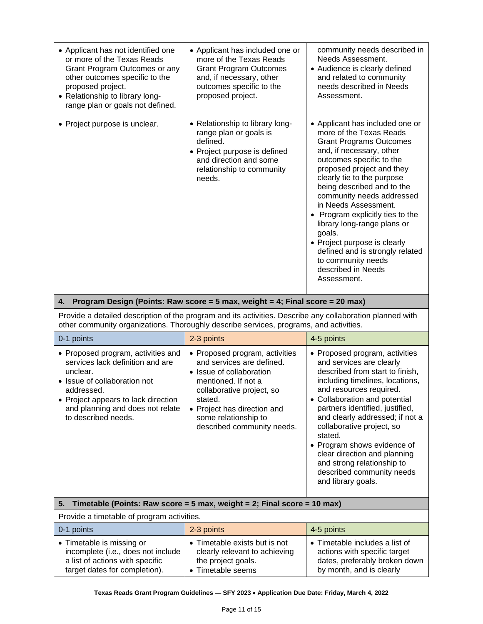| • Applicant has not identified one<br>or more of the Texas Reads<br>Grant Program Outcomes or any<br>other outcomes specific to the<br>proposed project.<br>• Relationship to library long-<br>range plan or goals not defined. | • Applicant has included one or<br>more of the Texas Reads<br><b>Grant Program Outcomes</b><br>and, if necessary, other<br>outcomes specific to the<br>proposed project. | community needs described in<br>Needs Assessment.<br>• Audience is clearly defined<br>and related to community<br>needs described in Needs<br>Assessment.                                                                                                                                                                                                                                                                                                                                                     |
|---------------------------------------------------------------------------------------------------------------------------------------------------------------------------------------------------------------------------------|--------------------------------------------------------------------------------------------------------------------------------------------------------------------------|---------------------------------------------------------------------------------------------------------------------------------------------------------------------------------------------------------------------------------------------------------------------------------------------------------------------------------------------------------------------------------------------------------------------------------------------------------------------------------------------------------------|
| • Project purpose is unclear.                                                                                                                                                                                                   | • Relationship to library long-<br>range plan or goals is<br>defined.<br>• Project purpose is defined<br>and direction and some<br>relationship to community<br>needs.   | • Applicant has included one or<br>more of the Texas Reads<br><b>Grant Programs Outcomes</b><br>and, if necessary, other<br>outcomes specific to the<br>proposed project and they<br>clearly tie to the purpose<br>being described and to the<br>community needs addressed<br>in Needs Assessment.<br>• Program explicitly ties to the<br>library long-range plans or<br>goals.<br>• Project purpose is clearly<br>defined and is strongly related<br>to community needs<br>described in Needs<br>Assessment. |

#### **4. Program Design (Points: Raw score = 5 max, weight = 4; Final score = 20 max)**

Provide a detailed description of the program and its activities. Describe any collaboration planned with other community organizations. Thoroughly describe services, programs, and activities.

| 0-1 points                                                                                                                                                                                                                         | 2-3 points                                                                                                                                                                                                                                  | 4-5 points                                                                                                                                                                                                                                                                                                                                                                                                                                               |  |
|------------------------------------------------------------------------------------------------------------------------------------------------------------------------------------------------------------------------------------|---------------------------------------------------------------------------------------------------------------------------------------------------------------------------------------------------------------------------------------------|----------------------------------------------------------------------------------------------------------------------------------------------------------------------------------------------------------------------------------------------------------------------------------------------------------------------------------------------------------------------------------------------------------------------------------------------------------|--|
| • Proposed program, activities and<br>services lack definition and are<br>unclear.<br>• Issue of collaboration not<br>addressed.<br>• Project appears to lack direction<br>and planning and does not relate<br>to described needs. | • Proposed program, activities<br>and services are defined.<br>• Issue of collaboration<br>mentioned. If not a<br>collaborative project, so<br>stated.<br>• Project has direction and<br>some relationship to<br>described community needs. | • Proposed program, activities<br>and services are clearly<br>described from start to finish,<br>including timelines, locations,<br>and resources required.<br>Collaboration and potential<br>partners identified, justified,<br>and clearly addressed; if not a<br>collaborative project, so<br>stated.<br>• Program shows evidence of<br>clear direction and planning<br>and strong relationship to<br>described community needs<br>and library goals. |  |
| 5.<br>Timetable (Points: Raw score = 5 max, weight = 2; Final score = 10 max)                                                                                                                                                      |                                                                                                                                                                                                                                             |                                                                                                                                                                                                                                                                                                                                                                                                                                                          |  |
| Provide a timetable of program activities.                                                                                                                                                                                         |                                                                                                                                                                                                                                             |                                                                                                                                                                                                                                                                                                                                                                                                                                                          |  |
| 0-1 points                                                                                                                                                                                                                         | 2-3 points                                                                                                                                                                                                                                  | 4-5 points                                                                                                                                                                                                                                                                                                                                                                                                                                               |  |
| • Timetable is missing or<br>incomplete (i.e., does not include<br>a list of actions with specific<br>target dates for completion).                                                                                                | • Timetable exists but is not<br>clearly relevant to achieving<br>the project goals.<br>• Timetable seems                                                                                                                                   | $\bullet$ Timetable includes a list of<br>actions with specific target<br>dates, preferably broken down<br>by month, and is clearly                                                                                                                                                                                                                                                                                                                      |  |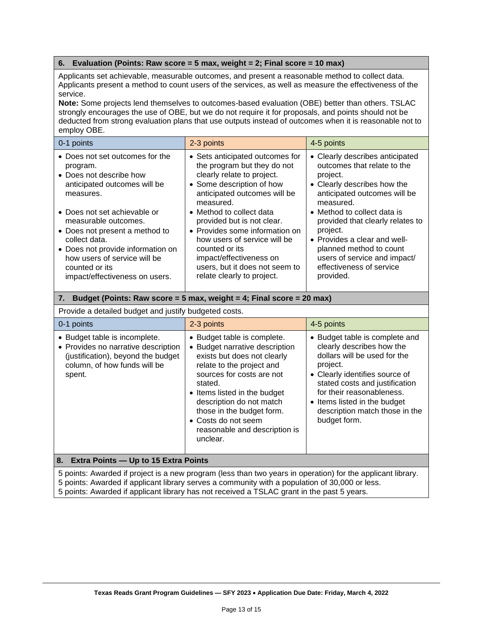#### **6. Evaluation (Points: Raw score = 5 max, weight = 2; Final score = 10 max)**

Applicants set achievable, measurable outcomes, and present a reasonable method to collect data. Applicants present a method to count users of the services, as well as measure the effectiveness of the service.

**Note:** Some projects lend themselves to outcomes-based evaluation (OBE) better than others. TSLAC strongly encourages the use of OBE, but we do not require it for proposals, and points should not be deducted from strong evaluation plans that use outputs instead of outcomes when it is reasonable not to employ OBE.

| 0-1 points                                                                                                                                                                                                                       | 2-3 points                                                                                                                                                                                                                            | 4-5 points                                                                                                                                                                                                      |
|----------------------------------------------------------------------------------------------------------------------------------------------------------------------------------------------------------------------------------|---------------------------------------------------------------------------------------------------------------------------------------------------------------------------------------------------------------------------------------|-----------------------------------------------------------------------------------------------------------------------------------------------------------------------------------------------------------------|
| • Does not set outcomes for the<br>program.<br>• Does not describe how<br>anticipated outcomes will be<br>measures.                                                                                                              | • Sets anticipated outcomes for<br>the program but they do not<br>clearly relate to project.<br>• Some description of how<br>anticipated outcomes will be<br>measured.                                                                | • Clearly describes anticipated<br>outcomes that relate to the<br>project.<br>• Clearly describes how the<br>anticipated outcomes will be<br>measured.                                                          |
| • Does not set achievable or<br>measurable outcomes.<br>• Does not present a method to<br>collect data.<br>• Does not provide information on<br>how users of service will be<br>counted or its<br>impact/effectiveness on users. | • Method to collect data<br>provided but is not clear.<br>• Provides some information on<br>how users of service will be<br>counted or its<br>impact/effectiveness on<br>users, but it does not seem to<br>relate clearly to project. | • Method to collect data is<br>provided that clearly relates to<br>project.<br>• Provides a clear and well-<br>planned method to count<br>users of service and impact/<br>effectiveness of service<br>provided. |

#### **7. Budget (Points: Raw score = 5 max, weight = 4; Final score = 20 max)**

#### Provide a detailed budget and justify budgeted costs.

| 0-1 points                                                                                                                                                                                                                                                                                                  | 2-3 points                                                                                                                                                                                                                                                                                                                     | 4-5 points                                                                                                                                                                                                                                                                                 |  |
|-------------------------------------------------------------------------------------------------------------------------------------------------------------------------------------------------------------------------------------------------------------------------------------------------------------|--------------------------------------------------------------------------------------------------------------------------------------------------------------------------------------------------------------------------------------------------------------------------------------------------------------------------------|--------------------------------------------------------------------------------------------------------------------------------------------------------------------------------------------------------------------------------------------------------------------------------------------|--|
| • Budget table is incomplete.<br>• Provides no narrative description<br>(justification), beyond the budget<br>column, of how funds will be<br>spent.                                                                                                                                                        | • Budget table is complete.<br>• Budget narrative description<br>exists but does not clearly<br>relate to the project and<br>sources for costs are not<br>stated.<br>• Items listed in the budget<br>description do not match<br>those in the budget form.<br>• Costs do not seem<br>reasonable and description is<br>unclear. | • Budget table is complete and<br>clearly describes how the<br>dollars will be used for the<br>project.<br>• Clearly identifies source of<br>stated costs and justification<br>for their reasonableness.<br>• Items listed in the budget<br>description match those in the<br>budget form. |  |
| 8. Extra Points - Up to 15 Extra Points                                                                                                                                                                                                                                                                     |                                                                                                                                                                                                                                                                                                                                |                                                                                                                                                                                                                                                                                            |  |
| 5 points: Awarded if project is a new program (less than two years in operation) for the applicant library.<br>5 points: Awarded if applicant library serves a community with a population of 30,000 or less.<br>5 points: Awarded if applicant library has not received a TSLAC grant in the past 5 years. |                                                                                                                                                                                                                                                                                                                                |                                                                                                                                                                                                                                                                                            |  |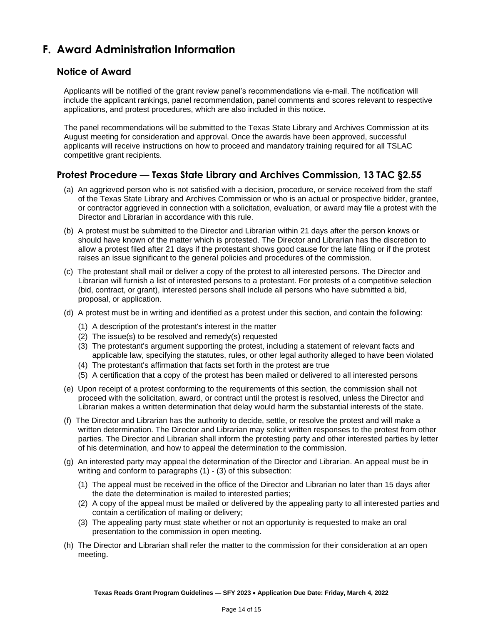# <span id="page-13-0"></span>**F. Award Administration Information**

## **Notice of Award**

Applicants will be notified of the grant review panel's recommendations via e-mail. The notification will include the applicant rankings, panel recommendation, panel comments and scores relevant to respective applications, and protest procedures, which are also included in this notice.

The panel recommendations will be submitted to the Texas State Library and Archives Commission at its August meeting for consideration and approval. Once the awards have been approved, successful applicants will receive instructions on how to proceed and mandatory training required for all TSLAC competitive grant recipients.

## **Protest Procedure — Texas State Library and Archives Commission, 13 TAC §2.55**

- (a) An aggrieved person who is not satisfied with a decision, procedure, or service received from the staff of the Texas State Library and Archives Commission or who is an actual or prospective bidder, grantee, or contractor aggrieved in connection with a solicitation, evaluation, or award may file a protest with the Director and Librarian in accordance with this rule.
- (b) A protest must be submitted to the Director and Librarian within 21 days after the person knows or should have known of the matter which is protested. The Director and Librarian has the discretion to allow a protest filed after 21 days if the protestant shows good cause for the late filing or if the protest raises an issue significant to the general policies and procedures of the commission.
- (c) The protestant shall mail or deliver a copy of the protest to all interested persons. The Director and Librarian will furnish a list of interested persons to a protestant. For protests of a competitive selection (bid, contract, or grant), interested persons shall include all persons who have submitted a bid, proposal, or application.
- (d) A protest must be in writing and identified as a protest under this section, and contain the following:
	- (1) A description of the protestant's interest in the matter
	- (2) The issue(s) to be resolved and remedy(s) requested
	- (3) The protestant's argument supporting the protest, including a statement of relevant facts and applicable law, specifying the statutes, rules, or other legal authority alleged to have been violated
	- (4) The protestant's affirmation that facts set forth in the protest are true
	- (5) A certification that a copy of the protest has been mailed or delivered to all interested persons
- (e) Upon receipt of a protest conforming to the requirements of this section, the commission shall not proceed with the solicitation, award, or contract until the protest is resolved, unless the Director and Librarian makes a written determination that delay would harm the substantial interests of the state.
- (f) The Director and Librarian has the authority to decide, settle, or resolve the protest and will make a written determination. The Director and Librarian may solicit written responses to the protest from other parties. The Director and Librarian shall inform the protesting party and other interested parties by letter of his determination, and how to appeal the determination to the commission.
- (g) An interested party may appeal the determination of the Director and Librarian. An appeal must be in writing and conform to paragraphs (1) - (3) of this subsection:
	- (1) The appeal must be received in the office of the Director and Librarian no later than 15 days after the date the determination is mailed to interested parties;
	- (2) A copy of the appeal must be mailed or delivered by the appealing party to all interested parties and contain a certification of mailing or delivery;
	- (3) The appealing party must state whether or not an opportunity is requested to make an oral presentation to the commission in open meeting.
- (h) The Director and Librarian shall refer the matter to the commission for their consideration at an open meeting.